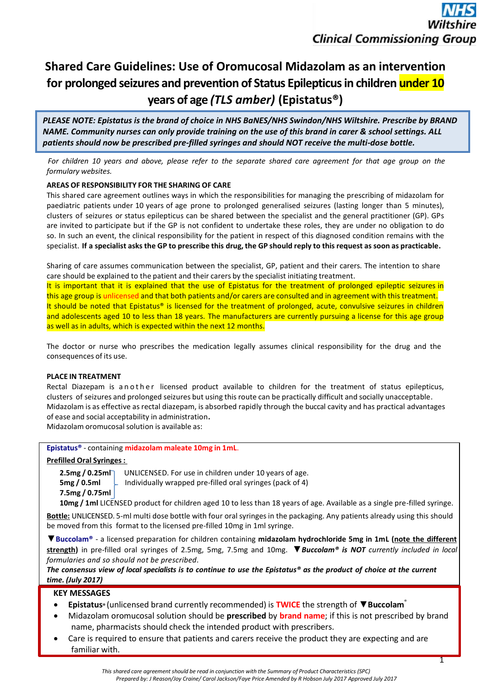# **Shared Care Guidelines: Use of Oromucosal Midazolam as an intervention for prolonged seizures and prevention of Status Epilepticus in children under 10 years of age** *(TLS amber)* **(Epistatus®)**

*PLEASE NOTE: Epistatus is the brand of choice in NHS BaNES/NHS Swindon/NHS Wiltshire. Prescribe by BRAND NAME. Community nurses can only provide training on the use of this brand in carer & school settings. ALL patients should now be prescribed pre-filled syringes and should NOT receive the multi-dose bottle.*

*For children 10 years and above, please refer to the separate shared care agreement for that age group on the formulary websites.*

# **AREAS OF RESPONSIBILITY FOR THE SHARING OF CARE**

This shared care agreement outlines ways in which the responsibilities for managing the prescribing of midazolam for paediatric patients under 10 years of age prone to prolonged generalised seizures (lasting longer than 5 minutes), clusters of seizures or status epilepticus can be shared between the specialist and the general practitioner (GP). GPs are invited to participate but if the GP is not confident to undertake these roles, they are under no obligation to do so. In such an event, the clinical responsibility for the patient in respect of this diagnosed condition remains with the specialist. If a specialist asks the GP to prescribe this drug, the GP should reply to this request as soon as practicable.

Sharing of care assumes communication between the specialist, GP, patient and their carers. The intention to share care should be explained to the patient and their carers by the specialist initiating treatment.

It is important that it is explained that the use of Epistatus for the treatment of prolonged epileptic seizures in this age group is unlicensed and that both patients and/or carers are consulted and in agreement with this treatment. It should be noted that Epistatus® is licensed for the treatment of prolonged, acute, convulsive seizures in children and adolescents aged 10 to less than 18 years. The manufacturers are currently pursuing a license for this age group as well as in adults, which is expected within the next 12 months.

The doctor or nurse who prescribes the medication legally assumes clinical responsibility for the drug and the consequences of its use.

# **PLACE IN TREATMENT**

Rectal Diazepam is a n o the r licensed product available to children for the treatment of status epilepticus, clusters of seizures and prolonged seizures but using thisroute can be practically difficult and socially unacceptable. Midazolam is as effective as rectal diazepam, is absorbed rapidly through the buccal cavity and has practical advantages of ease and social acceptability in administration**.**

Midazolam oromucosal solution is available as:

# **Epistatus®** - containing **midazolam maleate 10mg in 1mL**.

### **Prefilled Oral Syringes:**

**7.5mg / 0.75ml**

**2.5mg / 0.25ml** UNLICENSED. For use in children under 10 years of age.<br>**5mg / 0.5ml** Lindividually wrapped pre-filled oral syringes (pack of 4) **5mg / 0.5ml** Individually wrapped pre-filled oral syringes (pack of 4)

**10mg / 1ml** LICENSED product for children aged 10 to less than 18 years of age. Available as a single pre-filled syringe.

**Bottle:** UNLICENSED. 5-ml multi dose bottle with four oral syringes in the packaging. Any patients already using this should be moved from this format to the licensed pre-filled 10mg in 1ml syringe.

▼**Buccolam®** - a licensed preparation for children containing **midazolam hydrochloride 5mg in 1mL (note the different strength)** in pre-filled oral syringes of 2.5mg, 5mg, 7.5mg and 10mg. ▼*Buccolam® is NOT currently included in local formularies and so should not be prescribed.*

*The consensus view of local specialists is to continue to use the Epistatus® as the product of choice at the current time. (July 2017)*

# **KEY MESSAGES**

- **Epistatus®** (unlicensed brand currently recommended) is **TWICE** the strength of ▼**Buccolam** ®
- Midazolam oromucosal solution should be **prescribed** by **brand name**; if this is not prescribed by brand name, pharmacists should check the intended product with prescribers.
- Care is required to ensure that patients and carers receive the product they are expecting and are familiar with.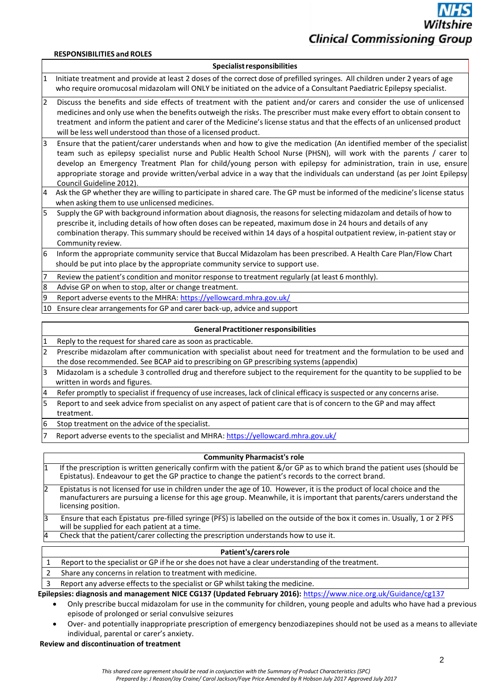# **Clinical Commissioning Group**

#### **RESPONSIBILITIES and ROLES**

#### **Specialistresponsibilities**

- 1 Initiate treatment and provide at least 2 doses of the correct dose of prefilled syringes. All children under 2 years of age who require oromucosal midazolam will ONLY be initiated on the advice of a Consultant Paediatric Epilepsy specialist.
- 2 Discuss the benefits and side effects of treatment with the patient and/or carers and consider the use of unlicensed medicines and only use when the benefits outweigh the risks. The prescriber must make every effort to obtain consent to treatment and inform the patient and carer of the Medicine's license status and that the effects of an unlicensed product will be less well understood than those of a licensed product.
- 3 Ensure that the patient/carer understands when and how to give the medication (An identified member of the specialist team such as epilepsy specialist nurse and Public Health School Nurse (PHSN), will work with the parents / carer to develop an Emergency Treatment Plan for child/young person with epilepsy for administration, train in use, ensure appropriate storage and provide written/verbal advice in a way that the individuals can understand (as per Joint Epilepsy Council Guideline 2012).
- 4 Ask the GP whether they are willing to participate in shared care. The GP must be informed of the medicine's license status when asking them to use unlicensed medicines.
- Supply the GP with background information about diagnosis, the reasons for selecting midazolam and details of how to prescribe it, including details of how often doses can be repeated, maximum dose in 24 hours and details of any combination therapy. Thissummary should be received within 14 days of a hospital outpatient review, in-patient stay or Community review.
- 6 Inform the appropriate community service that Buccal Midazolam has been prescribed. A Health Care Plan/Flow Chart should be put into place by the appropriate community service to support use.
- Review the patient's condition and monitor response to treatment regularly (at least 6 monthly).
- 8 Advise GP on when to stop, alter or change treatment.
- 9 Report adverse events to the MHRA: <https://yellowcard.mhra.gov.uk/>
- 10 Ensure clear arrangementsfor GP and carer back-up, advice and support

#### **General Practitioner responsibilities**

- Reply to the request for shared care as soon as practicable.
- 2 Prescribe midazolam after communication with specialist about need for treatment and the formulation to be used and the dose recommended. See BCAP aid to prescribing on GP prescribing systems (appendix)
- 3 Midazolam is a schedule 3 controlled drug and therefore subject to the requirement for the quantity to be supplied to be written in words and figures.
- 4 Refer promptly to specialist if frequency of use increases, lack of clinical efficacy is suspected or any concerns arise.
- 5 Report to and seek advice from specialist on any aspect of patient care that is of concern to the GP and may affect treatment.
- Stop treatment on the advice of the specialist.
- Report adverse events to the specialist and MHRA:<https://yellowcard.mhra.gov.uk/>

#### **Community Pharmacist's role**

| If the prescription is written generically confirm with the patient &/or GP as to which brand the patient uses (should be<br>Epistatus). Endeavour to get the GP practice to change the patient's records to the correct brand.                 |
|-------------------------------------------------------------------------------------------------------------------------------------------------------------------------------------------------------------------------------------------------|
| Epistatus is not licensed for use in children under the age of 10. However, it is the product of local choice and the<br>manufacturers are pursuing a license for this age group. Meanwhile, it is important that parents/carers understand the |

- licensing position.
- 3 Dgd Ensure that each Epistatus pre-filled syringe (PFS) is labelled on the outside of the box it comes in. Usually, 1 or 2 PFS will be supplied for each patient at a time.
- 4 Check that the patient/carer collecting the prescription understands how to use it.

#### Patient's/carers role

- 1 Report to the specialist or GP if he or she does not have a clear understanding of the treatment.
- 2 Share any concerns in relation to treatment with medicine.
- 3 Report any adverse effectsto the specialist or GP whilst taking the medicine.

**Epilepsies: diagnosis and management NICE CG137 (Updated February 2016):** <https://www.nice.org.uk/Guidance/cg137>

- Only prescribe buccal midazolam for use in the community for children, young people and adults who have had a previous episode of prolonged or serial convulsive seizures
- Over- and potentially inappropriate prescription of emergency benzodiazepines should not be used as a means to alleviate individual, parental or carer's anxiety.

# **Review and discontinuation of treatment**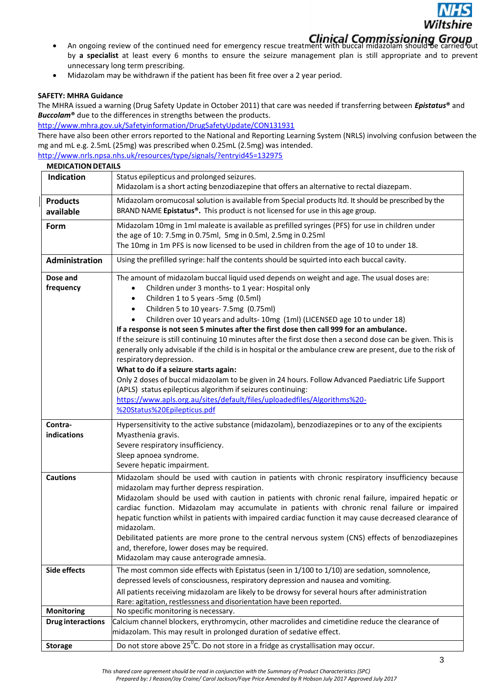

- An ongoing review of the continued need for emergency rescue treatment with buccal midazolam should be An ongoing review of the continued need for emergency rescue treatment with buccal midazolam should be by **a specialist** at least every 6 months to ensure the seizure management plan is still appropriate and to prevent unnecessary long term prescribing.
- Midazolam may be withdrawn if the patient has been fit free over a 2 year period.

# **SAFETY: MHRA Guidance**

The MHRA issued a warning (Drug Safety Update in October 2011) that care was needed if transferring between *Epistatus***®** and *Buccolam***®** due to the differences in strengths between the products.

<http://www.mhra.gov.uk/Safetyinformation/DrugSafetyUpdate/CON131931>

There have also been other errors reported to the National and Reporting Learning System (NRLS) involving confusion between the mg and mL e.g. 2.5mL (25mg) was prescribed when 0.25mL (2.5mg) was intended.

<http://www.nrls.npsa.nhs.uk/resources/type/signals/?entryid45=132975>

| <b>MEDICATION DETAILS</b>    |                                                                                                                                                                                                                                                                                                                                                                                                                                                                                                                                                                                                                                                                                                                                                                                                                                                                                                                                                                                                                                              |  |  |  |  |  |  |
|------------------------------|----------------------------------------------------------------------------------------------------------------------------------------------------------------------------------------------------------------------------------------------------------------------------------------------------------------------------------------------------------------------------------------------------------------------------------------------------------------------------------------------------------------------------------------------------------------------------------------------------------------------------------------------------------------------------------------------------------------------------------------------------------------------------------------------------------------------------------------------------------------------------------------------------------------------------------------------------------------------------------------------------------------------------------------------|--|--|--|--|--|--|
| Indication                   | Status epilepticus and prolonged seizures.<br>Midazolam is a short acting benzodiazepine that offers an alternative to rectal diazepam.                                                                                                                                                                                                                                                                                                                                                                                                                                                                                                                                                                                                                                                                                                                                                                                                                                                                                                      |  |  |  |  |  |  |
| <b>Products</b><br>available | Midazolam oromucosal solution is available from Special products ltd. It should be prescribed by the<br>BRAND NAME Epistatus®. This product is not licensed for use in this age group.                                                                                                                                                                                                                                                                                                                                                                                                                                                                                                                                                                                                                                                                                                                                                                                                                                                       |  |  |  |  |  |  |
| Form                         | Midazolam 10mg in 1ml maleate is available as prefilled syringes (PFS) for use in children under<br>the age of 10: 7.5mg in 0.75ml, 5mg in 0.5ml, 2.5mg in 0.25ml<br>The 10mg in 1m PFS is now licensed to be used in children from the age of 10 to under 18.                                                                                                                                                                                                                                                                                                                                                                                                                                                                                                                                                                                                                                                                                                                                                                               |  |  |  |  |  |  |
| <b>Administration</b>        | Using the prefilled syringe: half the contents should be squirted into each buccal cavity.                                                                                                                                                                                                                                                                                                                                                                                                                                                                                                                                                                                                                                                                                                                                                                                                                                                                                                                                                   |  |  |  |  |  |  |
| Dose and<br>frequency        | The amount of midazolam buccal liquid used depends on weight and age. The usual doses are:<br>Children under 3 months- to 1 year: Hospital only<br>$\bullet$<br>Children 1 to 5 years -5mg (0.5ml)<br>$\bullet$<br>Children 5 to 10 years-7.5mg (0.75ml)<br>$\bullet$<br>Children over 10 years and adults-10mg (1ml) (LICENSED age 10 to under 18)<br>$\bullet$<br>If a response is not seen 5 minutes after the first dose then call 999 for an ambulance.<br>If the seizure is still continuing 10 minutes after the first dose then a second dose can be given. This is<br>generally only advisable if the child is in hospital or the ambulance crew are present, due to the risk of<br>respiratory depression.<br>What to do if a seizure starts again:<br>Only 2 doses of buccal midazolam to be given in 24 hours. Follow Advanced Paediatric Life Support<br>(APLS) status epilepticus algorithm if seizures continuing:<br>https://www.apls.org.au/sites/default/files/uploadedfiles/Algorithms%20-<br>%20Status%20Epilepticus.pdf |  |  |  |  |  |  |
| Contra-                      | Hypersensitivity to the active substance (midazolam), benzodiazepines or to any of the excipients                                                                                                                                                                                                                                                                                                                                                                                                                                                                                                                                                                                                                                                                                                                                                                                                                                                                                                                                            |  |  |  |  |  |  |
| indications                  | Myasthenia gravis.<br>Severe respiratory insufficiency.<br>Sleep apnoea syndrome.<br>Severe hepatic impairment.                                                                                                                                                                                                                                                                                                                                                                                                                                                                                                                                                                                                                                                                                                                                                                                                                                                                                                                              |  |  |  |  |  |  |
| <b>Cautions</b>              | Midazolam should be used with caution in patients with chronic respiratory insufficiency because<br>midazolam may further depress respiration.<br>Midazolam should be used with caution in patients with chronic renal failure, impaired hepatic or<br>cardiac function. Midazolam may accumulate in patients with chronic renal failure or impaired<br>hepatic function whilst in patients with impaired cardiac function it may cause decreased clearance of<br>midazolam.<br>Debilitated patients are more prone to the central nervous system (CNS) effects of benzodiazepines<br>and, therefore, lower doses may be required.<br>Midazolam may cause anterograde amnesia.                                                                                                                                                                                                                                                                                                                                                               |  |  |  |  |  |  |
| <b>Side effects</b>          | The most common side effects with Epistatus (seen in 1/100 to 1/10) are sedation, somnolence,<br>depressed levels of consciousness, respiratory depression and nausea and vomiting.<br>All patients receiving midazolam are likely to be drowsy for several hours after administration                                                                                                                                                                                                                                                                                                                                                                                                                                                                                                                                                                                                                                                                                                                                                       |  |  |  |  |  |  |
|                              | Rare: agitation, restlessness and disorientation have been reported.                                                                                                                                                                                                                                                                                                                                                                                                                                                                                                                                                                                                                                                                                                                                                                                                                                                                                                                                                                         |  |  |  |  |  |  |
| <b>Monitoring</b>            | No specific monitoring is necessary.<br>Calcium channel blockers, erythromycin, other macrolides and cimetidine reduce the clearance of                                                                                                                                                                                                                                                                                                                                                                                                                                                                                                                                                                                                                                                                                                                                                                                                                                                                                                      |  |  |  |  |  |  |
| <b>Drug interactions</b>     | midazolam. This may result in prolonged duration of sedative effect.                                                                                                                                                                                                                                                                                                                                                                                                                                                                                                                                                                                                                                                                                                                                                                                                                                                                                                                                                                         |  |  |  |  |  |  |
| <b>Storage</b>               | Do not store above $25^{\circ}$ C. Do not store in a fridge as crystallisation may occur.                                                                                                                                                                                                                                                                                                                                                                                                                                                                                                                                                                                                                                                                                                                                                                                                                                                                                                                                                    |  |  |  |  |  |  |

*This shared care agreement should be read in conjunction with the Summary of Product Characteristics (SPC) Prepared by: J Reason/Joy Craine/ Carol Jackson/Faye Price Amended by R Hobson July 2017 Approved July 2017*